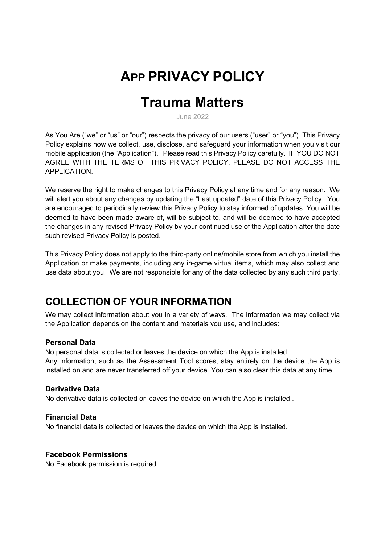# APP PRIVACY POLICY

# Trauma Matters

June 2022

As You Are ("we" or "us" or "our") respects the privacy of our users ("user" or "you"). This Privacy Policy explains how we collect, use, disclose, and safeguard your information when you visit our mobile application (the "Application"). Please read this Privacy Policy carefully. IF YOU DO NOT AGREE WITH THE TERMS OF THIS PRIVACY POLICY, PLEASE DO NOT ACCESS THE APPLICATION.

We reserve the right to make changes to this Privacy Policy at any time and for any reason. We will alert you about any changes by updating the "Last updated" date of this Privacy Policy. You are encouraged to periodically review this Privacy Policy to stay informed of updates. You will be deemed to have been made aware of, will be subject to, and will be deemed to have accepted the changes in any revised Privacy Policy by your continued use of the Application after the date such revised Privacy Policy is posted.

This Privacy Policy does not apply to the third-party online/mobile store from which you install the Application or make payments, including any in-game virtual items, which may also collect and use data about you. We are not responsible for any of the data collected by any such third party.

## COLLECTION OF YOUR INFORMATION

We may collect information about you in a variety of ways. The information we may collect via the Application depends on the content and materials you use, and includes:

#### Personal Data

No personal data is collected or leaves the device on which the App is installed. Any information, such as the Assessment Tool scores, stay entirely on the device the App is installed on and are never transferred off your device. You can also clear this data at any time.

#### Derivative Data

No derivative data is collected or leaves the device on which the App is installed..

#### Financial Data

No financial data is collected or leaves the device on which the App is installed.

#### Facebook Permissions

No Facebook permission is required.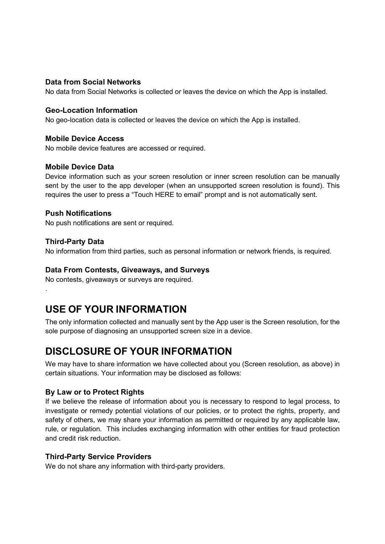#### Data from Social Networks

No data from Social Networks is collected or leaves the device on which the App is installed.

#### Geo-Location Information

No geo-location data is collected or leaves the device on which the App is installed.

#### Mobile Device Access

No mobile device features are accessed or required.

#### Mobile Device Data

Device information such as your screen resolution or inner screen resolution can be manually sent by the user to the app developer (when an unsupported screen resolution is found). This requires the user to press a "Touch HERE to email" prompt and is not automatically sent.

#### Push Notifications

No push notifications are sent or required.

#### Third-Party Data

.

No information from third parties, such as personal information or network friends, is required.

#### Data From Contests, Giveaways, and Surveys

No contests, giveaways or surveys are required.

## USE OF YOUR INFORMATION

The only information collected and manually sent by the App user is the Screen resolution, for the sole purpose of diagnosing an unsupported screen size in a device.

## DISCLOSURE OF YOUR INFORMATION

We may have to share information we have collected about you (Screen resolution, as above) in certain situations. Your information may be disclosed as follows:

#### By Law or to Protect Rights

If we believe the release of information about you is necessary to respond to legal process, to investigate or remedy potential violations of our policies, or to protect the rights, property, and safety of others, we may share your information as permitted or required by any applicable law, rule, or regulation. This includes exchanging information with other entities for fraud protection and credit risk reduction.

#### Third-Party Service Providers

We do not share any information with third-party providers.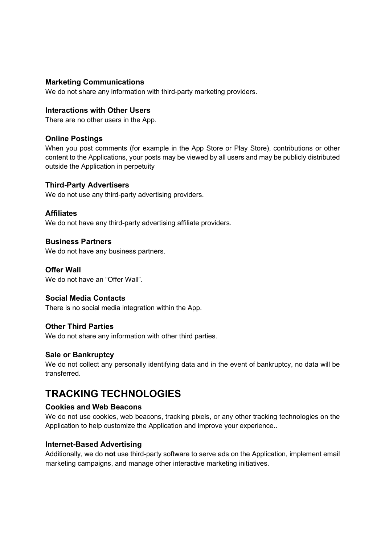#### Marketing Communications

We do not share any information with third-party marketing providers.

#### Interactions with Other Users

There are no other users in the App.

#### Online Postings

When you post comments (for example in the App Store or Play Store), contributions or other content to the Applications, your posts may be viewed by all users and may be publicly distributed outside the Application in perpetuity

#### Third-Party Advertisers

We do not use any third-party advertising providers.

#### **Affiliates**

We do not have any third-party advertising affiliate providers.

#### Business Partners

We do not have any business partners.

#### Offer Wall

We do not have an "Offer Wall".

#### Social Media Contacts

There is no social media integration within the App.

#### Other Third Parties

We do not share any information with other third parties.

#### Sale or Bankruptcy

We do not collect any personally identifying data and in the event of bankruptcy, no data will be transferred.

## TRACKING TECHNOLOGIES

#### Cookies and Web Beacons

We do not use cookies, web beacons, tracking pixels, or any other tracking technologies on the Application to help customize the Application and improve your experience..

#### Internet-Based Advertising

Additionally, we do not use third-party software to serve ads on the Application, implement email marketing campaigns, and manage other interactive marketing initiatives.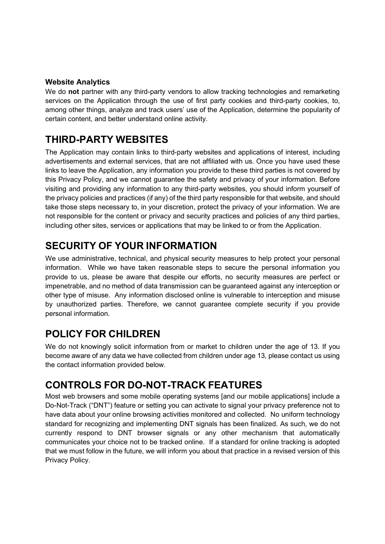#### Website Analytics

We do not partner with any third-party vendors to allow tracking technologies and remarketing services on the Application through the use of first party cookies and third-party cookies, to, among other things, analyze and track users' use of the Application, determine the popularity of certain content, and better understand online activity.

# THIRD-PARTY WEBSITES

The Application may contain links to third-party websites and applications of interest, including advertisements and external services, that are not affiliated with us. Once you have used these links to leave the Application, any information you provide to these third parties is not covered by this Privacy Policy, and we cannot guarantee the safety and privacy of your information. Before visiting and providing any information to any third-party websites, you should inform yourself of the privacy policies and practices (if any) of the third party responsible for that website, and should take those steps necessary to, in your discretion, protect the privacy of your information. We are not responsible for the content or privacy and security practices and policies of any third parties, including other sites, services or applications that may be linked to or from the Application.

# SECURITY OF YOUR INFORMATION

We use administrative, technical, and physical security measures to help protect your personal information. While we have taken reasonable steps to secure the personal information you provide to us, please be aware that despite our efforts, no security measures are perfect or impenetrable, and no method of data transmission can be guaranteed against any interception or other type of misuse. Any information disclosed online is vulnerable to interception and misuse by unauthorized parties. Therefore, we cannot guarantee complete security if you provide personal information.

## POLICY FOR CHILDREN

We do not knowingly solicit information from or market to children under the age of 13. If you become aware of any data we have collected from children under age 13, please contact us using the contact information provided below.

## CONTROLS FOR DO-NOT-TRACK FEATURES

Most web browsers and some mobile operating systems [and our mobile applications] include a Do-Not-Track ("DNT") feature or setting you can activate to signal your privacy preference not to have data about your online browsing activities monitored and collected. No uniform technology standard for recognizing and implementing DNT signals has been finalized. As such, we do not currently respond to DNT browser signals or any other mechanism that automatically communicates your choice not to be tracked online. If a standard for online tracking is adopted that we must follow in the future, we will inform you about that practice in a revised version of this Privacy Policy.